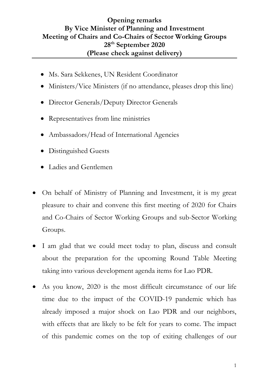## **Opening remarks By Vice Minister of Planning and Investment Meeting of Chairs and Co-Chairs of Sector Working Groups 28th September 2020 (Please check against delivery)**

- Ms. Sara Sekkenes, UN Resident Coordinator
- Ministers/Vice Ministers (if no attendance, pleases drop this line)
- Director Generals/Deputy Director Generals
- Representatives from line ministries
- Ambassadors/Head of International Agencies
- Distinguished Guests
- Ladies and Gentlemen
- On behalf of Ministry of Planning and Investment, it is my great pleasure to chair and convene this first meeting of 2020 for Chairs and Co-Chairs of Sector Working Groups and sub-Sector Working Groups.
- I am glad that we could meet today to plan, discuss and consult about the preparation for the upcoming Round Table Meeting taking into various development agenda items for Lao PDR.
- As you know, 2020 is the most difficult circumstance of our life time due to the impact of the COVID-19 pandemic which has already imposed a major shock on Lao PDR and our neighbors, with effects that are likely to be felt for years to come. The impact of this pandemic comes on the top of exiting challenges of our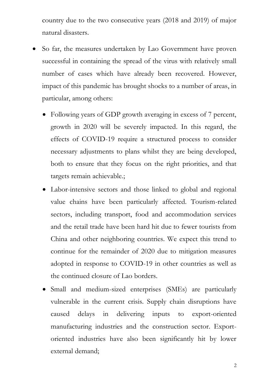country due to the two consecutive years (2018 and 2019) of major natural disasters.

- So far, the measures undertaken by Lao Government have proven successful in containing the spread of the virus with relatively small number of cases which have already been recovered. However, impact of this pandemic has brought shocks to a number of areas, in particular, among others:
	- Following years of GDP growth averaging in excess of 7 percent, growth in 2020 will be severely impacted. In this regard, the effects of COVID-19 require a structured process to consider necessary adjustments to plans whilst they are being developed, both to ensure that they focus on the right priorities, and that targets remain achievable.;
	- Labor-intensive sectors and those linked to global and regional value chains have been particularly affected. Tourism-related sectors, including transport, food and accommodation services and the retail trade have been hard hit due to fewer tourists from China and other neighboring countries. We expect this trend to continue for the remainder of 2020 due to mitigation measures adopted in response to COVID-19 in other countries as well as the continued closure of Lao borders.
	- Small and medium-sized enterprises (SMEs) are particularly vulnerable in the current crisis. Supply chain disruptions have caused delays in delivering inputs to export-oriented manufacturing industries and the construction sector. Exportoriented industries have also been significantly hit by lower external demand;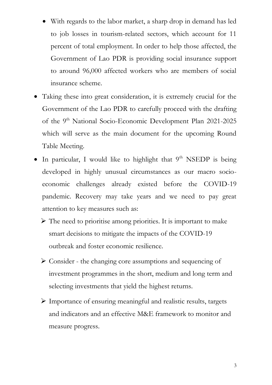- With regards to the labor market, a sharp drop in demand has led to job losses in tourism-related sectors, which account for 11 percent of total employment. In order to help those affected, the Government of Lao PDR is providing social insurance support to around 96,000 affected workers who are members of social insurance scheme.
- Taking these into great consideration, it is extremely crucial for the Government of the Lao PDR to carefully proceed with the drafting of the 9<sup>th</sup> National Socio-Economic Development Plan 2021-2025 which will serve as the main document for the upcoming Round Table Meeting.
- $\bullet$  In particular, I would like to highlight that  $9<sup>th</sup>$  NSEDP is being developed in highly unusual circumstances as our macro socioeconomic challenges already existed before the COVID-19 pandemic. Recovery may take years and we need to pay great attention to key measures such as:
	- $\triangleright$  The need to prioritise among priorities. It is important to make smart decisions to mitigate the impacts of the COVID-19 outbreak and foster economic resilience.
	- Consider the changing core assumptions and sequencing of investment programmes in the short, medium and long term and selecting investments that yield the highest returns.
	- Importance of ensuring meaningful and realistic results, targets and indicators and an effective M&E framework to monitor and measure progress.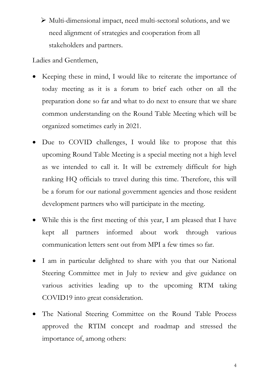Multi-dimensional impact, need multi-sectoral solutions, and we need alignment of strategies and cooperation from all stakeholders and partners.

Ladies and Gentlemen,

- Keeping these in mind, I would like to reiterate the importance of today meeting as it is a forum to brief each other on all the preparation done so far and what to do next to ensure that we share common understanding on the Round Table Meeting which will be organized sometimes early in 2021.
- Due to COVID challenges, I would like to propose that this upcoming Round Table Meeting is a special meeting not a high level as we intended to call it. It will be extremely difficult for high ranking HQ officials to travel during this time. Therefore, this will be a forum for our national government agencies and those resident development partners who will participate in the meeting.
- While this is the first meeting of this year, I am pleased that I have kept all partners informed about work through various communication letters sent out from MPI a few times so far.
- I am in particular delighted to share with you that our National Steering Committee met in July to review and give guidance on various activities leading up to the upcoming RTM taking COVID19 into great consideration.
- The National Steering Committee on the Round Table Process approved the RTIM concept and roadmap and stressed the importance of, among others:

4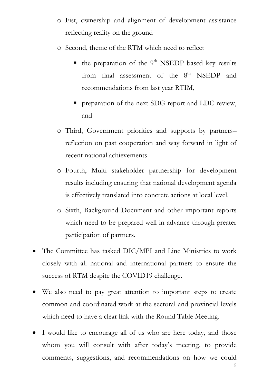- o Fist, ownership and alignment of development assistance reflecting reality on the ground
- o Second, theme of the RTM which need to reflect
	- $\blacksquare$  the preparation of the 9<sup>th</sup> NSEDP based key results from final assessment of the  $8<sup>th</sup>$  NSEDP and recommendations from last year RTIM,
	- **Perform** preparation of the next SDG report and LDC review, and
- o Third, Government priorities and supports by partners– reflection on past cooperation and way forward in light of recent national achievements
- o Fourth, Multi stakeholder partnership for development results including ensuring that national development agenda is effectively translated into concrete actions at local level.
- o Sixth, Background Document and other important reports which need to be prepared well in advance through greater participation of partners.
- The Committee has tasked DIC/MPI and Line Ministries to work closely with all national and international partners to ensure the success of RTM despite the COVID19 challenge.
- We also need to pay great attention to important steps to create common and coordinated work at the sectoral and provincial levels which need to have a clear link with the Round Table Meeting.
- I would like to encourage all of us who are here today, and those whom you will consult with after today's meeting, to provide comments, suggestions, and recommendations on how we could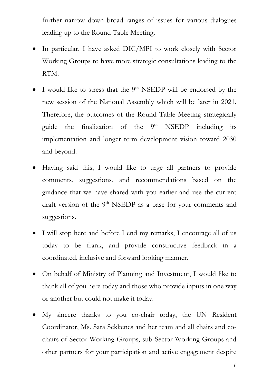further narrow down broad ranges of issues for various dialogues leading up to the Round Table Meeting.

- In particular, I have asked DIC/MPI to work closely with Sector Working Groups to have more strategic consultations leading to the RTM.
- $\bullet$  I would like to stress that the 9<sup>th</sup> NSEDP will be endorsed by the new session of the National Assembly which will be later in 2021. Therefore, the outcomes of the Round Table Meeting strategically guide the finalization of the  $9<sup>th</sup>$  NSEDP including its implementation and longer term development vision toward 2030 and beyond.
- Having said this, I would like to urge all partners to provide comments, suggestions, and recommendations based on the guidance that we have shared with you earlier and use the current draft version of the 9<sup>th</sup> NSEDP as a base for your comments and suggestions.
- I will stop here and before I end my remarks, I encourage all of us today to be frank, and provide constructive feedback in a coordinated, inclusive and forward looking manner.
- On behalf of Ministry of Planning and Investment, I would like to thank all of you here today and those who provide inputs in one way or another but could not make it today.
- My sincere thanks to you co-chair today, the UN Resident Coordinator, Ms. Sara Sekkenes and her team and all chairs and cochairs of Sector Working Groups, sub-Sector Working Groups and other partners for your participation and active engagement despite